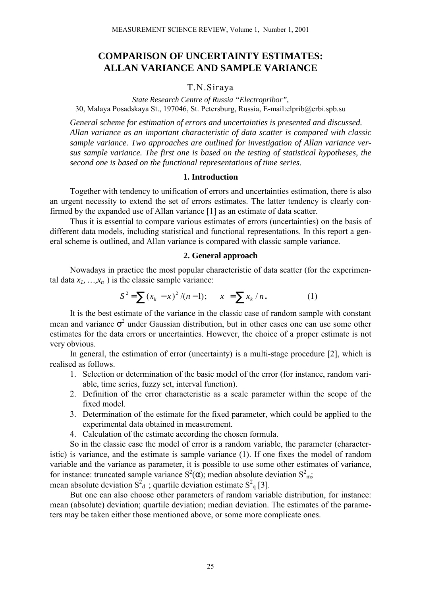# **COMPARISON OF UNCERTAINTY ESTIMATES: ALLAN VARIANCE AND SAMPLE VARIANCE**

# T.N.Siraya

*State Research Centre of Russia "Electropribor",* 30, Malaya Posadskaya St., 197046, St. Petersburg, Russia, E-mail:elprib@erbi.spb.su

*General scheme for estimation of errors and uncertainties is presented and discussed. Allan variance as an important characteristic of data scatter is compared with classic sample variance. Two approaches are outlined for investigation of Allan variance versus sample variance. The first one is based on the testing of statistical hypotheses, the second one is based on the functional representations of time series.*

# **1. Introduction**

Together with tendency to unification of errors and uncertainties estimation, there is also an urgent necessity to extend the set of errors estimates. The latter tendency is clearly confirmed by the expanded use of Allan variance [1] as an estimate of data scatter.

Thus it is essential to compare various estimates of errors (uncertainties) on the basis of different data models, including statistical and functional representations. In this report a general scheme is outlined, and Allan variance is compared with classic sample variance.

## **2. General approach**

Nowadays in practice the most popular characteristic of data scatter (for the experimental data  $x_1, \ldots, x_n$ ) is the classic sample variance:

$$
S^{2} = \sum (x_{k} - \overline{x})^{2} / (n - 1); \qquad \overline{x} = \sum x_{k} / n.
$$
 (1)

It is the best estimate of the variance in the classic case of random sample with constant mean and variance  $\sigma^2$  under Gaussian distribution, but in other cases one can use some other estimates for the data errors or uncertainties. However, the choice of a proper estimate is not very obvious.

In general, the estimation of error (uncertainty) is a multi-stage procedure [2], which is realised as follows.

- 1. Selection or determination of the basic model of the error (for instance, random variable, time series, fuzzy set, interval function).
- 2. Definition of the error characteristic as a scale parameter within the scope of the fixed model.
- 3. Determination of the estimate for the fixed parameter, which could be applied to the experimental data obtained in measurement.
- 4. Calculation of the estimate according the chosen formula.

So in the classic case the model of error is a random variable, the parameter (characteristic) is variance, and the estimate is sample variance (1). If one fixes the model of random variable and the variance as parameter, it is possible to use some other estimates of variance, for instance: truncated sample variance  $S^2(\alpha)$ ; median absolute deviation  $S^2_{\text{m}}$ ;

mean absolute deviation  $S_d^2$ ; quartile deviation estimate  $S_d^2$  [3].

But one can also choose other parameters of random variable distribution, for instance: mean (absolute) deviation; quartile deviation; median deviation. The estimates of the parameters may be taken either those mentioned above, or some more complicate ones.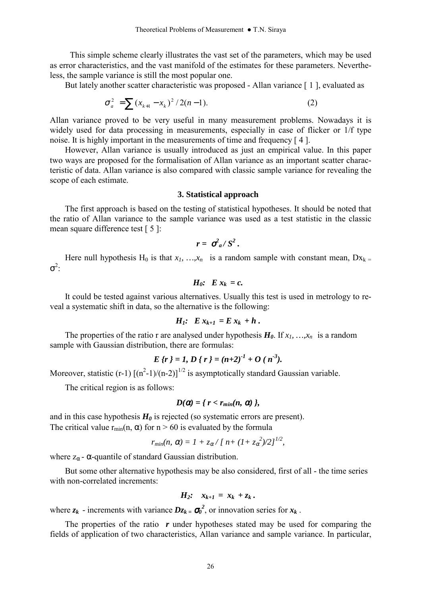This simple scheme clearly illustrates the vast set of the parameters, which may be used as error characteristics, and the vast manifold of the estimates for these parameters. Nevertheless, the sample variance is still the most popular one.

But lately another scatter characteristic was proposed - Allan variance [1], evaluated as

$$
\sigma_a^2 = \sum (x_{k+1} - x_k)^2 / 2(n-1).
$$
 (2)

Allan variance proved to be very useful in many measurement problems. Nowadays it is widely used for data processing in measurements, especially in case of flicker or 1/f type noise. It is highly important in the measurements of time and frequency [ 4 ].

However, Allan variance is usually introduced as just an empirical value. In this paper two ways are proposed for the formalisation of Allan variance as an important scatter characteristic of data. Allan variance is also compared with classic sample variance for revealing the scope of each estimate.

## **3. Statistical approach**

The first approach is based on the testing of statistical hypotheses. It should be noted that the ratio of Allan variance to the sample variance was used as a test statistic in the classic mean square difference test [ 5 ]:

$$
r = \sigma_a^2 / S^2.
$$

Here null hypothesis H<sub>0</sub> is that  $x_1, ..., x_n$  is a random sample with constant mean,  $Dx_k =$  $\sigma^2$ :

$$
H_0: E x_k = c.
$$

It could be tested against various alternatives. Usually this test is used in metrology to reveal a systematic shift in data, so the alternative is the following:

$$
H_1: E x_{k+1} = E x_k + h.
$$

The properties of the ratio r are analysed under hypothesis  $H_0$ . If  $x_1, \ldots, x_n$  is a random sample with Gaussian distribution, there are formulas:

$$
E\{r\}=1, D\{r\}=(n+2)^{-1}+O(n^{-3}).
$$

Moreover, statistic (r-1)  $[(n^2-1)/(n-2)]^{1/2}$  is asymptotically standard Gaussian variable.

The critical region is as follows:

$$
D(\alpha) = \{ r < r_{min}(n, \alpha) \},
$$

and in this case hypothesis  $H_0$  is rejected (so systematic errors are present). The critical value  $r_{min}(n, \alpha)$  for  $n > 60$  is evaluated by the formula

$$
r_{min}(n, \alpha) = 1 + z_{\alpha}/[n + (1 + z_{\alpha}^{2})/2]^{1/2},
$$

where  $z_{\alpha}$  -  $\alpha$ -quantile of standard Gaussian distribution.

But some other alternative hypothesis may be also considered, first of all - the time series with non-correlated increments:

$$
H_2: x_{k+1} = x_k + z_k.
$$

where  $z_k$  - increments with variance  $Dz_k = \sigma_0^2$ , or innovation series for  $x_k$ .

The properties of the ratio r under hypotheses stated may be used for comparing the fields of application of two characteristics, Allan variance and sample variance. In particular,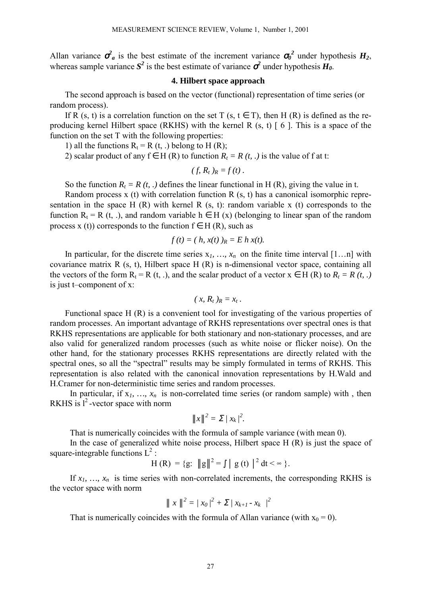Allan variance  $\sigma_a^2$  is the best estimate of the increment variance  $\sigma_0^2$  under hypothesis  $H_2$ , whereas sample variance  $S^2$  is the best estimate of variance  $\sigma^2$  under hypothesis  $H_0$ .

# **4. Hilbert space approach**

The second approach is based on the vector (functional) representation of time series (or random process).

If R (s, t) is a correlation function on the set T (s,  $t \in T$ ), then H (R) is defined as the reproducing kernel Hilbert space (RKHS) with the kernel R (s, t) [ 6 ]. This is a space of the function on the set T with the following properties:

1) all the functions  $R_t = R(t, .)$  belong to H (R);

2) scalar product of any  $f \in H(R)$  to function  $R_t = R(t, .)$  is the value of f at t:

$$
(f, R_t)_R = f(t).
$$

So the function  $R_t = R(t, t)$  defines the linear functional in H (R), giving the value in t.

Random process x (t) with correlation function R (s, t) has a canonical isomorphic representation in the space H (R) with kernel R  $(s, t)$ : random variable x (t) corresponds to the function  $R_t = R(t, .)$ , and random variable  $h \in H(x)$  (belonging to linear span of the random process x (t)) corresponds to the function  $f \in H(R)$ , such as

$$
f(t) = (h, x(t))_R = E h x(t).
$$

In particular, for the discrete time series  $x_1, ..., x_n$  on the finite time interval  $[1...n]$  with covariance matrix R (s, t), Hilbert space H (R) is n-dimensional vector space*,* containing all the vectors of the form  $R_t = R(t, .)$ , and the scalar product of a vector  $x \in H(R)$  to  $R_t = R(t, .)$ is just t-component of  $x$ :

$$
(x, R_t)_R = x_t.
$$

Functional space H (R) is a convenient tool for investigating of the various properties of random processes. An important advantage of RKHS representations over spectral ones is that RKHS representations are applicable for both stationary and non-stationary processes, and are also valid for generalized random processes (such as white noise or flicker noise). On the other hand, for the stationary processes RKHS representations are directly related with the spectral ones, so all the "spectral" results may be simply formulated in terms of RKHS. This representation is also related with the canonical innovation representations by H.Wald and H.Cramer for non-deterministic time series and random processes.

In particular, if  $x_1, ..., x_n$  is non-correlated time series (or random sample) with, then RKHS is  $1<sup>2</sup>$ -vector space with norm

$$
\|x\|^2 = \sum / x_k^2.
$$

That is numerically coincides with the formula of sample variance (with mean 0).

In the case of generalized white noise process, Hilbert space H (R) is just the space of square-integrable functions  $L^2$ :

$$
H(R) = {g: \|g\|^2 = \int |g(t)|^2 dt < \infty }
$$
.

If  $x_1$ , ...,  $x_n$  is time series with non-correlated increments, the corresponding RKHS is the vector space with norm

$$
\parallel x \parallel^2 = / x_0 /^2 + \Sigma / x_{k+1} - x_k /^2
$$

That is numerically coincides with the formula of Allan variance (with  $x_0 = 0$ ).